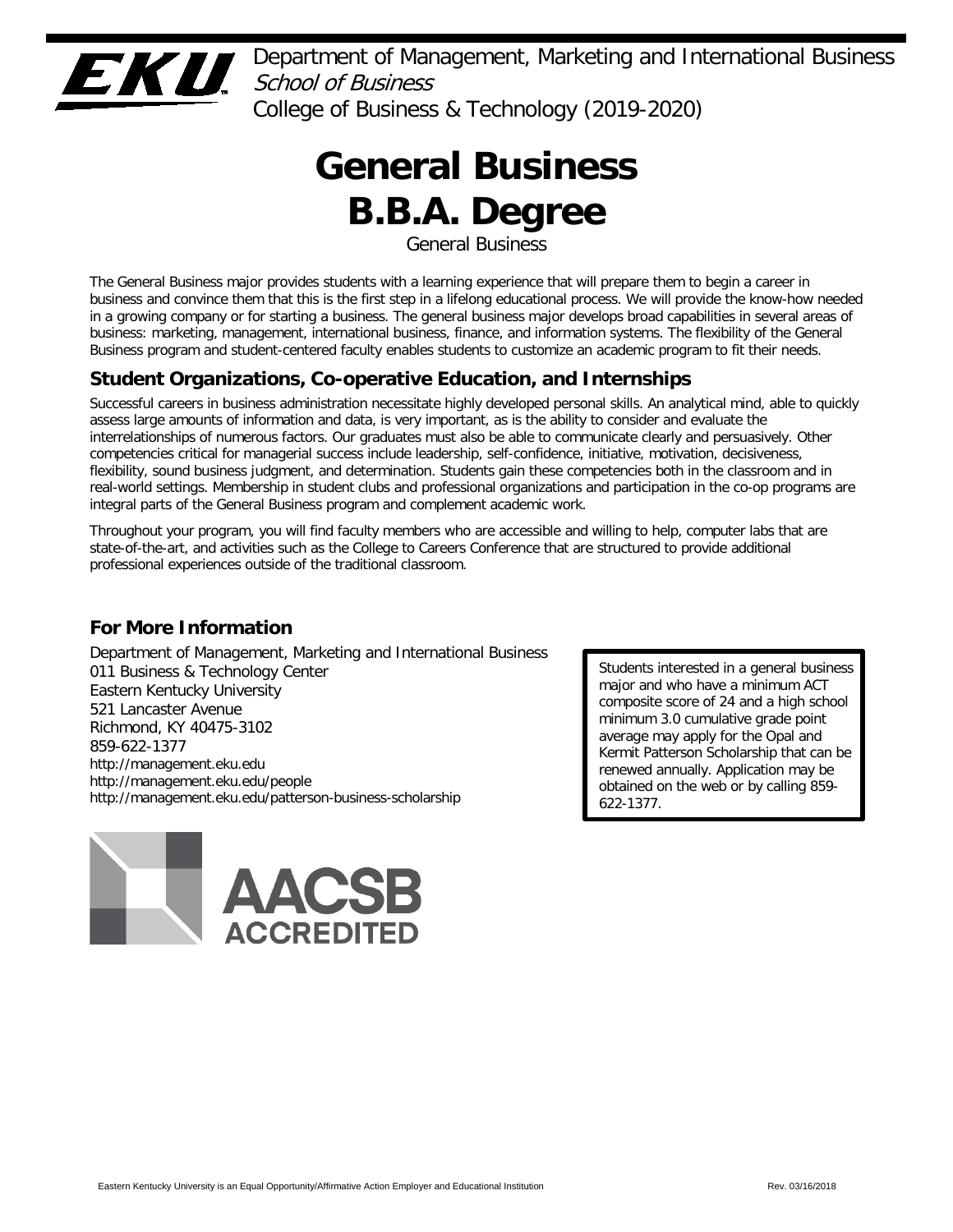

Department of Management, Marketing and International Business School of Business College of Business & Technology (2019-2020)

# **General Business B.B.A. Degree**

General Business

The General Business major provides students with a learning experience that will prepare them to begin a career in business and convince them that this is the first step in a lifelong educational process. We will provide the know-how needed in a growing company or for starting a business. The general business major develops broad capabilities in several areas of business: marketing, management, international business, finance, and information systems. The flexibility of the General Business program and student-centered faculty enables students to customize an academic program to fit their needs.

# **Student Organizations, Co-operative Education, and Internships**

Successful careers in business administration necessitate highly developed personal skills. An analytical mind, able to quickly assess large amounts of information and data, is very important, as is the ability to consider and evaluate the interrelationships of numerous factors. Our graduates must also be able to communicate clearly and persuasively. Other competencies critical for managerial success include leadership, self-confidence, initiative, motivation, decisiveness, flexibility, sound business judgment, and determination. Students gain these competencies both in the classroom and in real-world settings. Membership in student clubs and professional organizations and participation in the co-op programs are integral parts of the General Business program and complement academic work.

Throughout your program, you will find faculty members who are accessible and willing to help, computer labs that are state-of-the-art, and activities such as the College to Careers Conference that are structured to provide additional professional experiences outside of the traditional classroom.

# **For More Information**

Department of Management, Marketing and International Business 011 Business & Technology Center Eastern Kentucky University 521 Lancaster Avenue Richmond, KY 40475-3102 859-622-1377 http://management.eku.edu http://management.eku.edu/people http://management.eku.edu/patterson-business-scholarship



Students interested in a general business major and who have a minimum ACT composite score of 24 and a high school minimum 3.0 cumulative grade point average may apply for the Opal and Kermit Patterson Scholarship that can be renewed annually. Application may be obtained on the web or by calling 859- 622-1377.